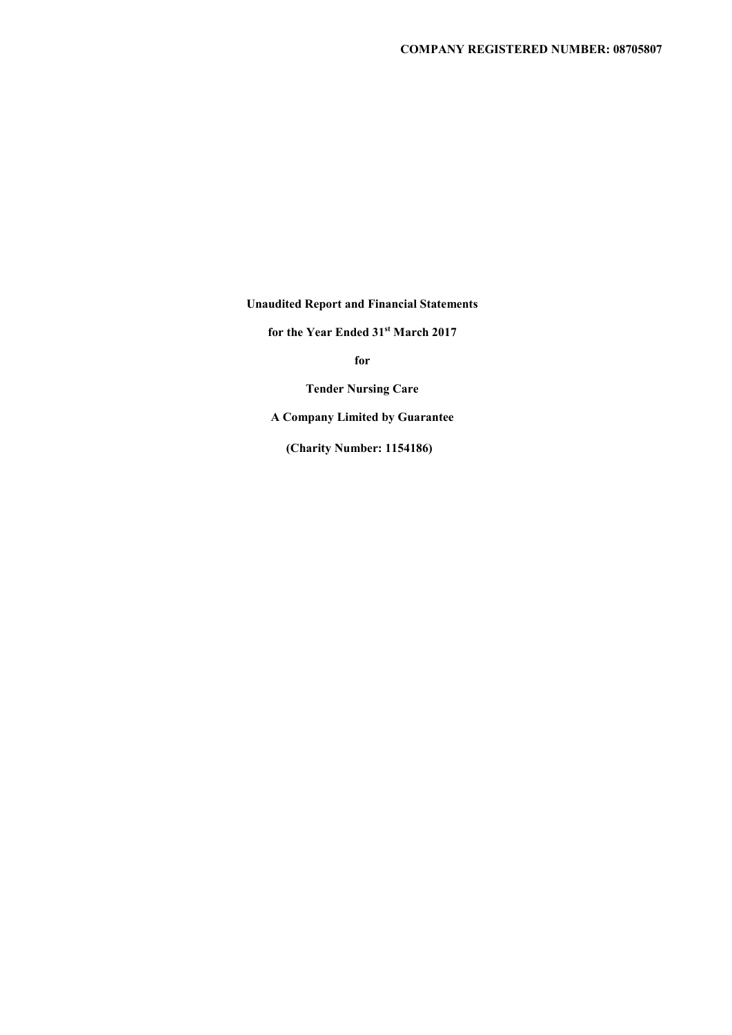**Unaudited Report and Financial Statements** 

**for the Year Ended 31st March 2017** 

**for** 

**Tender Nursing Care** 

 **A Company Limited by Guarantee** 

**(Charity Number: 1154186)**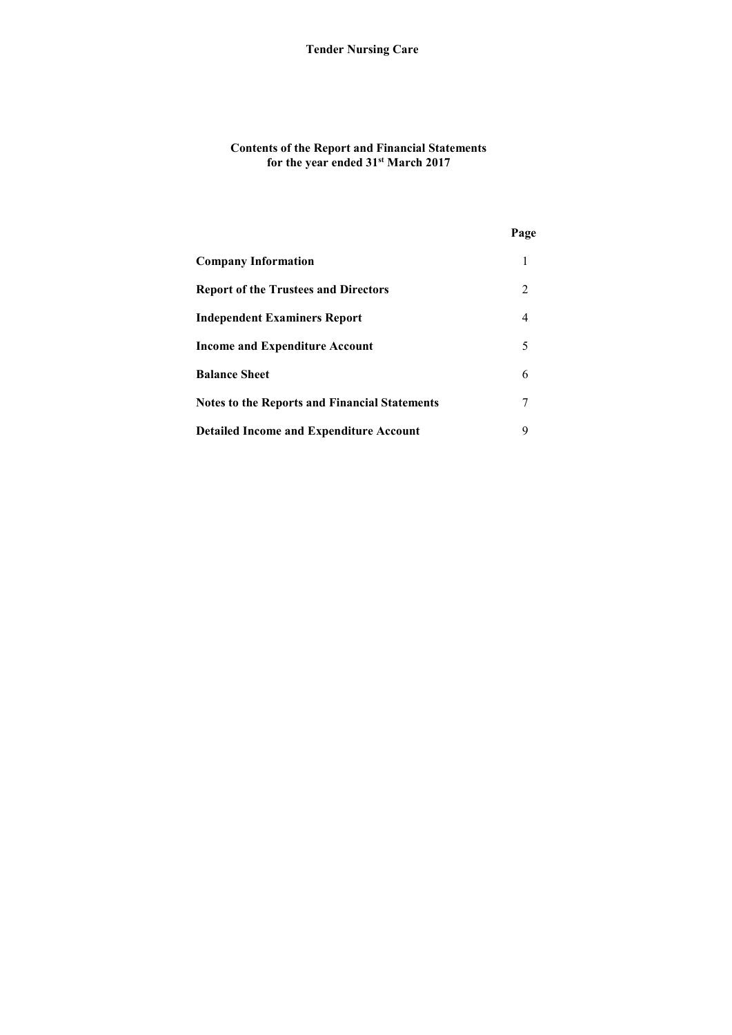## **Contents of the Report and Financial Statements for the year ended 31st March 2017**

|                                                      | Page |
|------------------------------------------------------|------|
| <b>Company Information</b>                           |      |
| <b>Report of the Trustees and Directors</b>          | 2    |
| <b>Independent Examiners Report</b>                  | 4    |
| <b>Income and Expenditure Account</b>                | 5    |
| <b>Balance Sheet</b>                                 | 6    |
| <b>Notes to the Reports and Financial Statements</b> |      |
| <b>Detailed Income and Expenditure Account</b>       | 9    |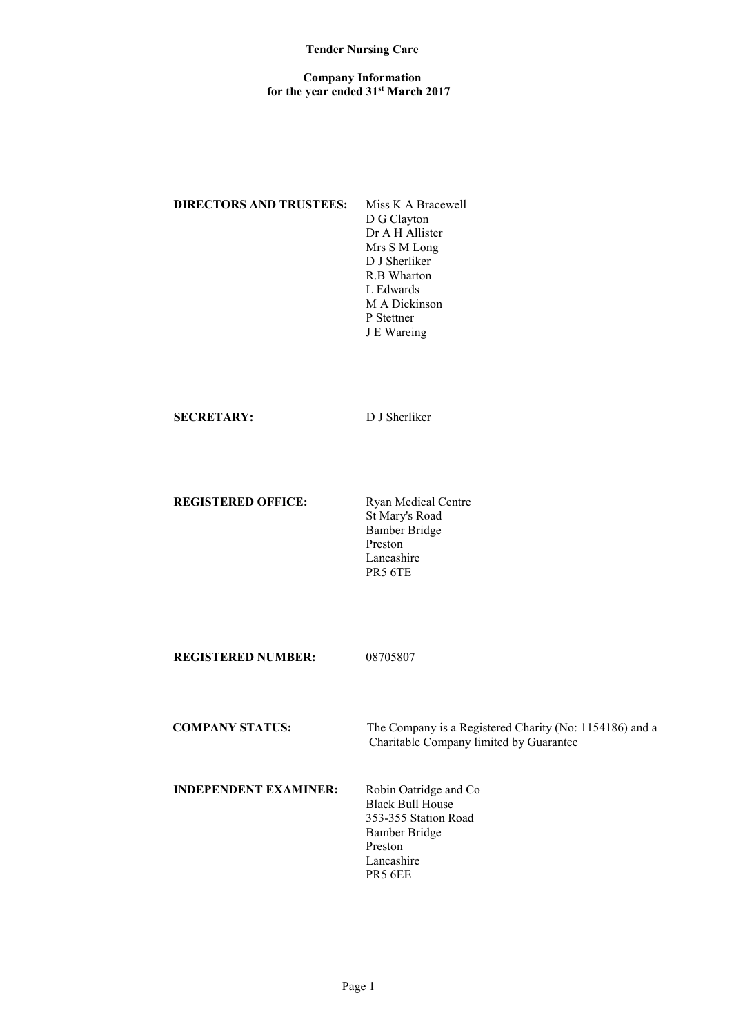#### **Company Information for the year ended 31st March 2017**

# **DIRECTORS AND TRUSTEES:** Miss K A Bracewell

D G Clayton Dr A H Allister Mrs S M Long D J Sherliker R.B Wharton L Edwards M A Dickinson P Stettner J E Wareing

### **SECRETARY:** D J Sherliker

# **REGISTERED OFFICE:** Ryan Medical Centre

St Mary's Road Bamber Bridge Preston Lancashire PR5 6TE

**REGISTERED NUMBER:** 08705807

 **COMPANY STATUS:** The Company is a Registered Charity (No: 1154186) and a Charitable Company limited by Guarantee

# **INDEPENDENT EXAMINER:** Robin Oatridge and Co

Black Bull House 353-355 Station Road Bamber Bridge Preston Lancashire PR5 6EE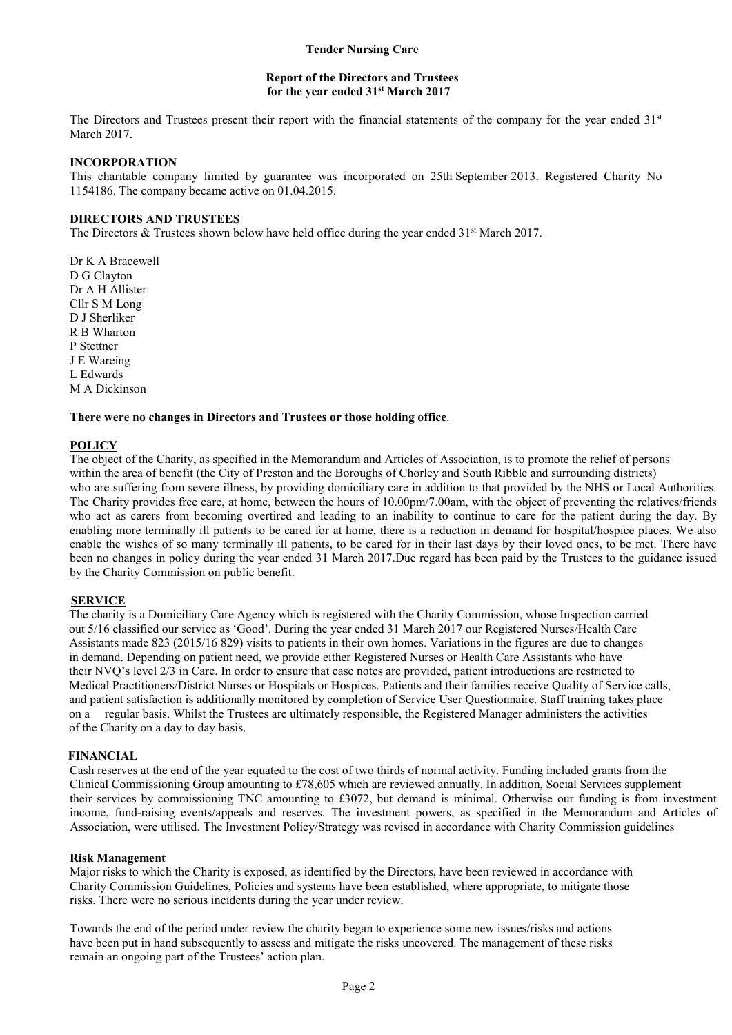### **Report of the Directors and Trustees for the year ended 31st March 2017**

The Directors and Trustees present their report with the financial statements of the company for the year ended 31<sup>st</sup> March 2017.

### **INCORPORATION**

This charitable company limited by guarantee was incorporated on 25th September 2013. Registered Charity No 1154186. The company became active on 01.04.2015.

### **DIRECTORS AND TRUSTEES**

The Directors & Trustees shown below have held office during the year ended 31<sup>st</sup> March 2017.

Dr K A Bracewell D G Clayton Dr A H Allister Cllr S M Long D J Sherliker R B Wharton P Stettner J E Wareing L Edwards M A Dickinson

### **There were no changes in Directors and Trustees or those holding office**.

### **POLICY**

The object of the Charity, as specified in the Memorandum and Articles of Association, is to promote the relief of persons within the area of benefit (the City of Preston and the Boroughs of Chorley and South Ribble and surrounding districts) who are suffering from severe illness, by providing domiciliary care in addition to that provided by the NHS or Local Authorities. The Charity provides free care, at home, between the hours of 10.00pm/7.00am, with the object of preventing the relatives/friends who act as carers from becoming overtired and leading to an inability to continue to care for the patient during the day. By enabling more terminally ill patients to be cared for at home, there is a reduction in demand for hospital/hospice places. We also enable the wishes of so many terminally ill patients, to be cared for in their last days by their loved ones, to be met. There have been no changes in policy during the year ended 31 March 2017.Due regard has been paid by the Trustees to the guidance issued by the Charity Commission on public benefit.

### **SERVICE**

 The charity is a Domiciliary Care Agency which is registered with the Charity Commission, whose Inspection carried out 5/16 classified our service as 'Good'. During the year ended 31 March 2017 our Registered Nurses/Health Care Assistants made 823 (2015/16 829) visits to patients in their own homes. Variations in the figures are due to changes in demand. Depending on patient need, we provide either Registered Nurses or Health Care Assistants who have their NVQ's level 2/3 in Care. In order to ensure that case notes are provided, patient introductions are restricted to Medical Practitioners/District Nurses or Hospitals or Hospices. Patients and their families receive Quality of Service calls, and patient satisfaction is additionally monitored by completion of Service User Questionnaire. Staff training takes place on a regular basis. Whilst the Trustees are ultimately responsible, the Registered Manager administers the activities of the Charity on a day to day basis.

# **FINANCIAL**

Cash reserves at the end of the year equated to the cost of two thirds of normal activity. Funding included grants from the Clinical Commissioning Group amounting to £78,605 which are reviewed annually. In addition, Social Services supplement their services by commissioning TNC amounting to £3072, but demand is minimal. Otherwise our funding is from investment income, fund-raising events/appeals and reserves. The investment powers, as specified in the Memorandum and Articles of Association, were utilised. The Investment Policy/Strategy was revised in accordance with Charity Commission guidelines

### **Risk Management**

Major risks to which the Charity is exposed, as identified by the Directors, have been reviewed in accordance with Charity Commission Guidelines, Policies and systems have been established, where appropriate, to mitigate those risks. There were no serious incidents during the year under review.

Towards the end of the period under review the charity began to experience some new issues/risks and actions have been put in hand subsequently to assess and mitigate the risks uncovered. The management of these risks remain an ongoing part of the Trustees' action plan.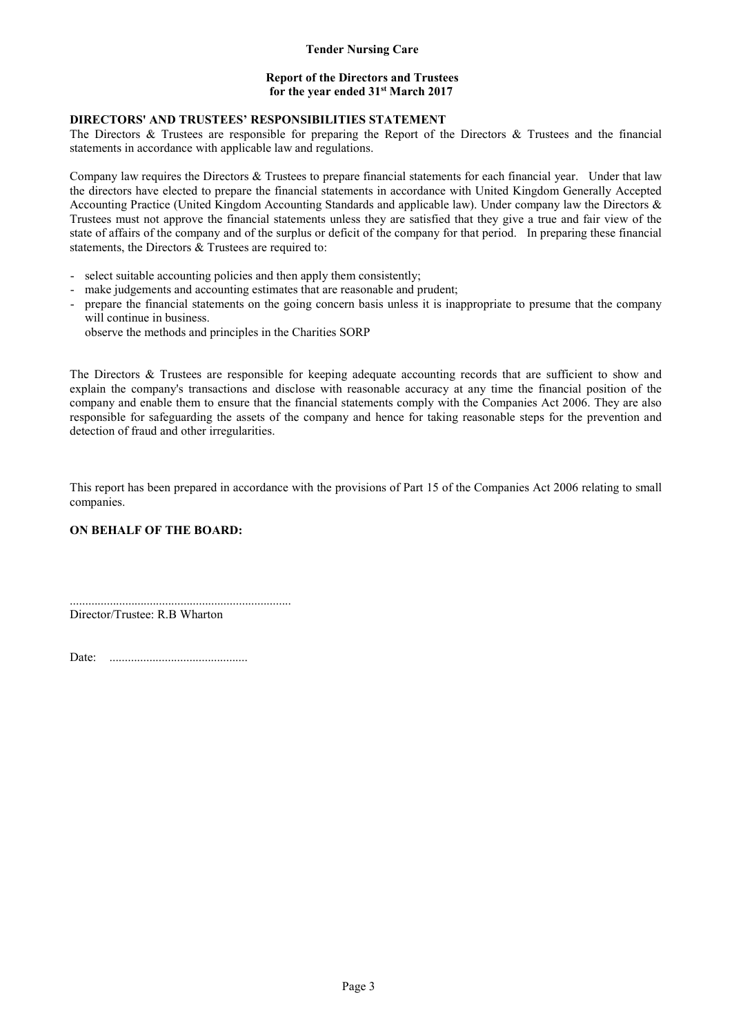### **Report of the Directors and Trustees for the year ended 31st March 2017**

# **DIRECTORS' AND TRUSTEES' RESPONSIBILITIES STATEMENT**

The Directors & Trustees are responsible for preparing the Report of the Directors & Trustees and the financial statements in accordance with applicable law and regulations.

Company law requires the Directors & Trustees to prepare financial statements for each financial year. Under that law the directors have elected to prepare the financial statements in accordance with United Kingdom Generally Accepted Accounting Practice (United Kingdom Accounting Standards and applicable law). Under company law the Directors & Trustees must not approve the financial statements unless they are satisfied that they give a true and fair view of the state of affairs of the company and of the surplus or deficit of the company for that period. In preparing these financial statements, the Directors & Trustees are required to:

- select suitable accounting policies and then apply them consistently;
- make judgements and accounting estimates that are reasonable and prudent;
- prepare the financial statements on the going concern basis unless it is inappropriate to presume that the company will continue in business.
	- observe the methods and principles in the Charities SORP

The Directors & Trustees are responsible for keeping adequate accounting records that are sufficient to show and explain the company's transactions and disclose with reasonable accuracy at any time the financial position of the company and enable them to ensure that the financial statements comply with the Companies Act 2006. They are also responsible for safeguarding the assets of the company and hence for taking reasonable steps for the prevention and detection of fraud and other irregularities.

This report has been prepared in accordance with the provisions of Part 15 of the Companies Act 2006 relating to small companies.

# **ON BEHALF OF THE BOARD:**

........................................................................ Director/Trustee: R.B Wharton

Date: .............................................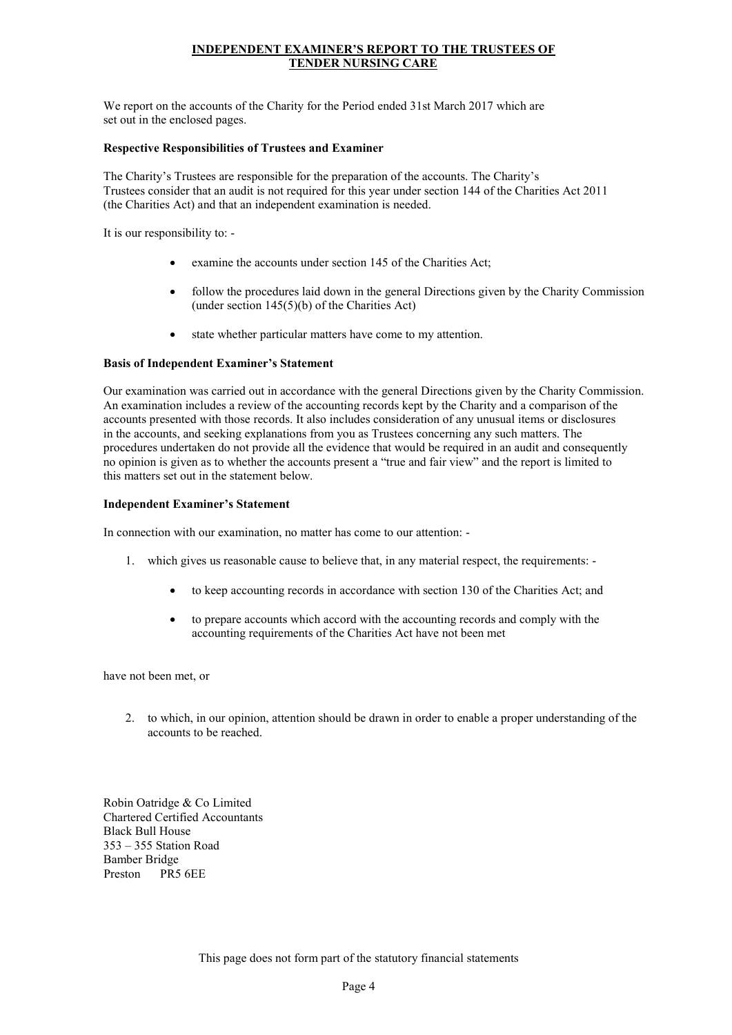# **INDEPENDENT EXAMINER'S REPORT TO THE TRUSTEES OF TENDER NURSING CARE**

We report on the accounts of the Charity for the Period ended 31st March 2017 which are set out in the enclosed pages.

#### **Respective Responsibilities of Trustees and Examiner**

The Charity's Trustees are responsible for the preparation of the accounts. The Charity's Trustees consider that an audit is not required for this year under section 144 of the Charities Act 2011 (the Charities Act) and that an independent examination is needed.

It is our responsibility to: -

- examine the accounts under section 145 of the Charities Act;
- follow the procedures laid down in the general Directions given by the Charity Commission (under section 145(5)(b) of the Charities Act)
- state whether particular matters have come to my attention.

#### **Basis of Independent Examiner's Statement**

Our examination was carried out in accordance with the general Directions given by the Charity Commission. An examination includes a review of the accounting records kept by the Charity and a comparison of the accounts presented with those records. It also includes consideration of any unusual items or disclosures in the accounts, and seeking explanations from you as Trustees concerning any such matters. The procedures undertaken do not provide all the evidence that would be required in an audit and consequently no opinion is given as to whether the accounts present a "true and fair view" and the report is limited to this matters set out in the statement below.

#### **Independent Examiner's Statement**

In connection with our examination, no matter has come to our attention: -

- 1. which gives us reasonable cause to believe that, in any material respect, the requirements:
	- to keep accounting records in accordance with section 130 of the Charities Act; and
	- to prepare accounts which accord with the accounting records and comply with the accounting requirements of the Charities Act have not been met

have not been met, or

2. to which, in our opinion, attention should be drawn in order to enable a proper understanding of the accounts to be reached.

Robin Oatridge & Co Limited Chartered Certified Accountants Black Bull House 353 – 355 Station Road Bamber Bridge Preston PR5 6EE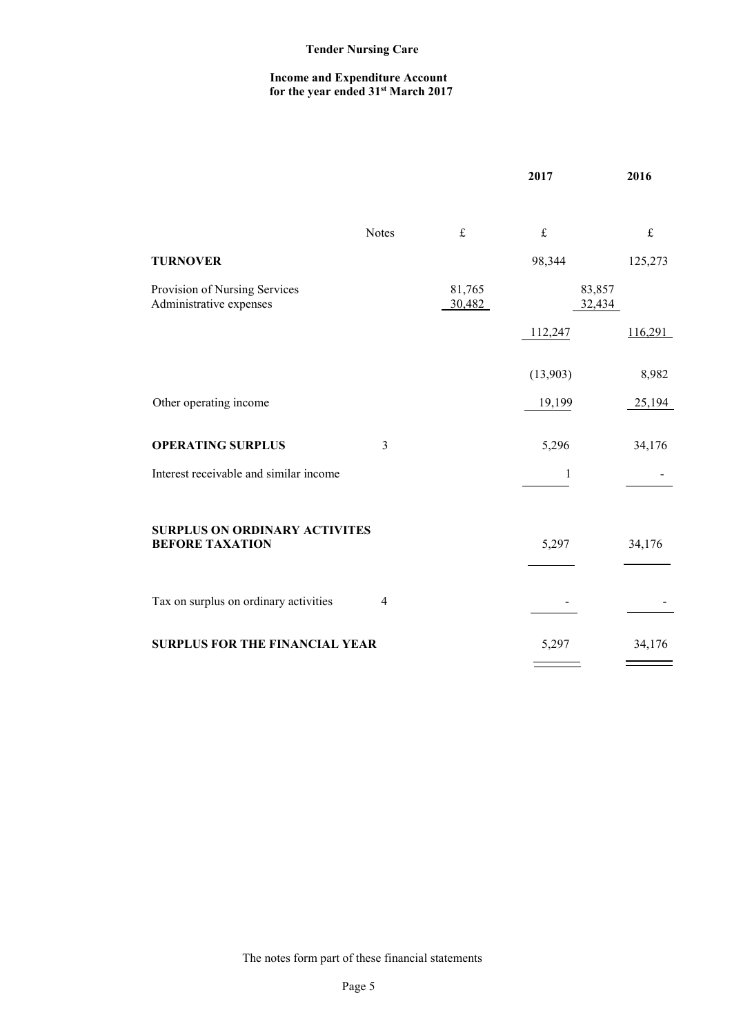#### **Income and Expenditure Account for the year ended 31st March 2017**

|                                                          |                |                                                                                                                                                     | 2017             | 2016      |
|----------------------------------------------------------|----------------|-----------------------------------------------------------------------------------------------------------------------------------------------------|------------------|-----------|
|                                                          | <b>Notes</b>   | $\mathfrak{L}% _{F}=\mathfrak{L}_{F,\mathbb{R}}\times\mathfrak{L}_{F,\mathbb{R}}\times\mathfrak{L}_{F,\mathbb{R}}\times\mathfrak{L}_{F,\mathbb{R}}$ | $\pounds$        | $\pounds$ |
| <b>TURNOVER</b>                                          |                |                                                                                                                                                     | 98,344           | 125,273   |
| Provision of Nursing Services<br>Administrative expenses |                | 81,765<br>30,482                                                                                                                                    | 83,857<br>32,434 |           |
|                                                          |                |                                                                                                                                                     | 112,247          | 116,291   |
|                                                          |                |                                                                                                                                                     | (13,903)         | 8,982     |
| Other operating income                                   |                |                                                                                                                                                     | 19,199           | 25,194    |
| <b>OPERATING SURPLUS</b>                                 | $\mathfrak{Z}$ |                                                                                                                                                     | 5,296            | 34,176    |
| Interest receivable and similar income                   |                |                                                                                                                                                     | $\mathbf{1}$     |           |
| <b>SURPLUS ON ORDINARY ACTIVITES</b>                     |                |                                                                                                                                                     |                  |           |
| <b>BEFORE TAXATION</b>                                   |                |                                                                                                                                                     | 5,297            | 34,176    |
|                                                          |                |                                                                                                                                                     |                  |           |
| Tax on surplus on ordinary activities                    | $\overline{4}$ |                                                                                                                                                     |                  |           |
| <b>SURPLUS FOR THE FINANCIAL YEAR</b>                    |                |                                                                                                                                                     | 5,297            | 34,176    |
|                                                          |                |                                                                                                                                                     |                  |           |

The notes form part of these financial statements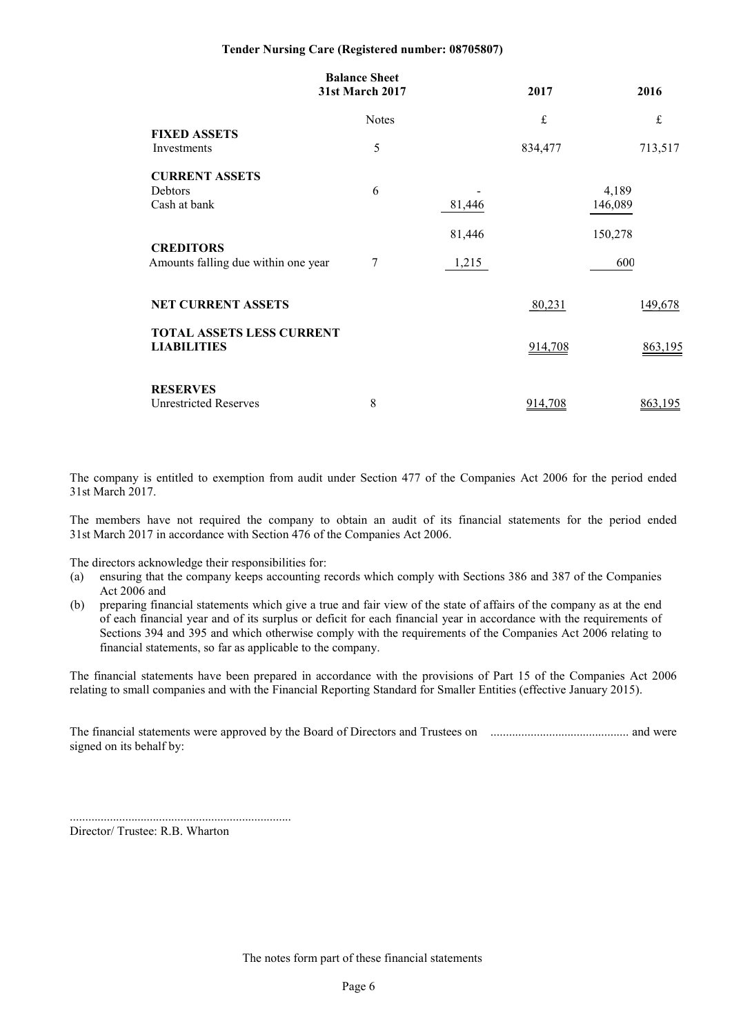|                                                        | <b>Balance Sheet</b><br>31st March 2017 |        | 2017      | 2016             |
|--------------------------------------------------------|-----------------------------------------|--------|-----------|------------------|
|                                                        | <b>Notes</b>                            |        | $\pounds$ | $\mathbf f$      |
| <b>FIXED ASSETS</b><br>Investments                     | 5                                       |        | 834,477   | 713,517          |
| <b>CURRENT ASSETS</b><br>Debtors<br>Cash at bank       | 6                                       | 81,446 |           | 4,189<br>146,089 |
| <b>CREDITORS</b>                                       |                                         | 81,446 |           | 150,278          |
| Amounts falling due within one year                    | 7                                       | 1,215  |           | 600              |
| <b>NET CURRENT ASSETS</b>                              |                                         |        | 80,231    | 149,678          |
| <b>TOTAL ASSETS LESS CURRENT</b><br><b>LIABILITIES</b> |                                         |        | 914,708   | 863,195          |
| <b>RESERVES</b><br><b>Unrestricted Reserves</b>        | 8                                       |        | 914,708   | 863,195          |

The company is entitled to exemption from audit under Section 477 of the Companies Act 2006 for the period ended 31st March 2017.

The members have not required the company to obtain an audit of its financial statements for the period ended 31st March 2017 in accordance with Section 476 of the Companies Act 2006.

The directors acknowledge their responsibilities for:

- (a) ensuring that the company keeps accounting records which comply with Sections 386 and 387 of the Companies Act 2006 and
- (b) preparing financial statements which give a true and fair view of the state of affairs of the company as at the end of each financial year and of its surplus or deficit for each financial year in accordance with the requirements of Sections 394 and 395 and which otherwise comply with the requirements of the Companies Act 2006 relating to financial statements, so far as applicable to the company.

The financial statements have been prepared in accordance with the provisions of Part 15 of the Companies Act 2006 relating to small companies and with the Financial Reporting Standard for Smaller Entities (effective January 2015).

The financial statements were approved by the Board of Directors and Trustees on ............................................. and were signed on its behalf by:

........................................................................ Director/ Trustee: R.B. Wharton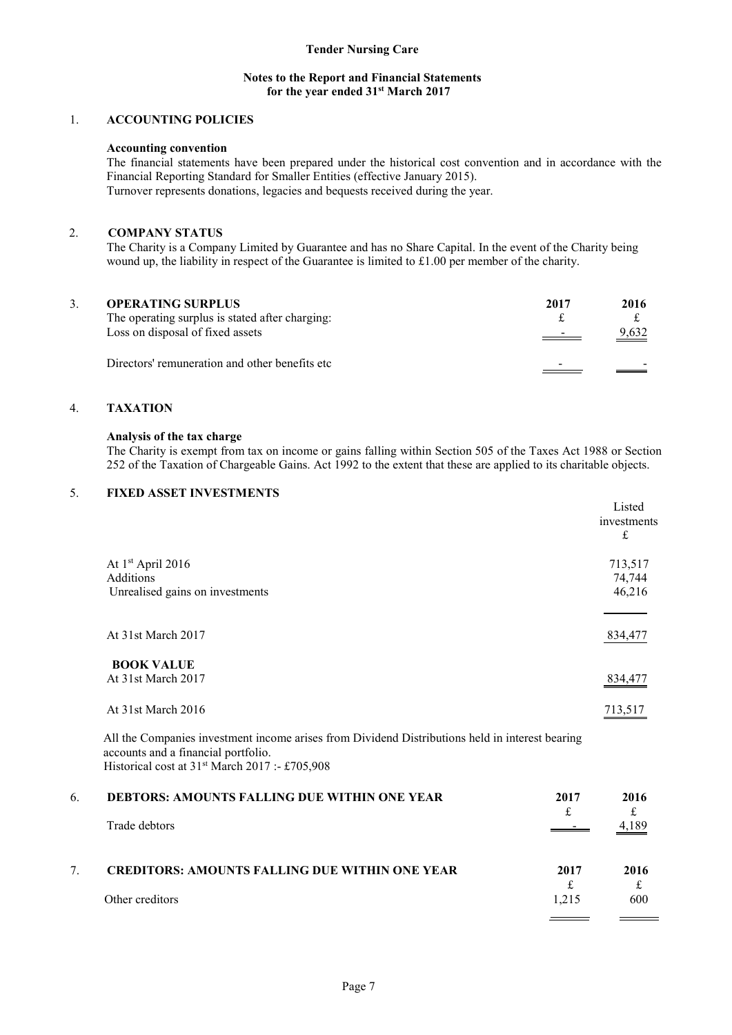#### **Notes to the Report and Financial Statements for the year ended 31st March 2017**

### 1. **ACCOUNTING POLICIES**

#### **Accounting convention**

The financial statements have been prepared under the historical cost convention and in accordance with the Financial Reporting Standard for Smaller Entities (effective January 2015). Turnover represents donations, legacies and bequests received during the year.

### 2. **COMPANY STATUS**

 The Charity is a Company Limited by Guarantee and has no Share Capital. In the event of the Charity being wound up, the liability in respect of the Guarantee is limited to £1.00 per member of the charity.

| 3. | <b>OPERATING SURPLUS</b><br>The operating surplus is stated after charging:<br>Loss on disposal of fixed assets | 2017<br>$\overline{\phantom{a}}$ | 2016<br>9,632 |
|----|-----------------------------------------------------------------------------------------------------------------|----------------------------------|---------------|
|    | Directors' remuneration and other benefits etc.                                                                 |                                  |               |

# 4. **TAXATION**

#### **Analysis of the tax charge**

The Charity is exempt from tax on income or gains falling within Section 505 of the Taxes Act 1988 or Section 252 of the Taxation of Chargeable Gains. Act 1992 to the extent that these are applied to its charitable objects.

# 5. **FIXED ASSET INVESTMENTS**

|                                 | Listed<br>investments<br>£ |
|---------------------------------|----------------------------|
| At 1 <sup>st</sup> April 2016   | 713,517                    |
| Additions                       | 74,744                     |
| Unrealised gains on investments | 46,216                     |
| At 31st March 2017              | 834,477                    |
| <b>BOOK VALUE</b>               |                            |
| At 31st March 2017              | 834 477                    |
| At 31st March 2016              | 713,517                    |
|                                 |                            |

All the Companies investment income arises from Dividend Distributions held in interest bearing accounts and a financial portfolio. Historical cost at 31<sup>st</sup> March 2017 :- £705,908

| 6. | <b>DEBTORS: AMOUNTS FALLING DUE WITHIN ONE YEAR</b><br>Trade debtors     | 2017          | 2016<br>4,189 |
|----|--------------------------------------------------------------------------|---------------|---------------|
|    | <b>CREDITORS: AMOUNTS FALLING DUE WITHIN ONE YEAR</b><br>Other creditors | 2017<br>1.215 | 2016<br>600   |
|    |                                                                          |               |               |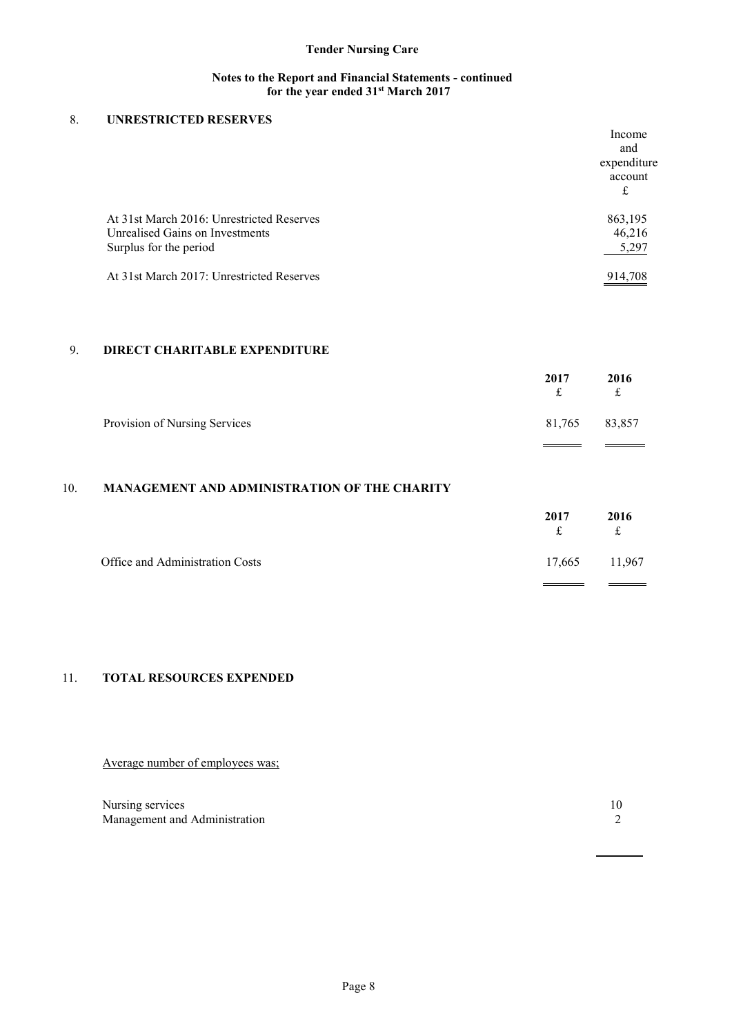# **Notes to the Report and Financial Statements - continued for the year ended 31st March 2017**

# 8. **UNRESTRICTED RESERVES**

|                                           | Income      |
|-------------------------------------------|-------------|
|                                           | and         |
|                                           | expenditure |
|                                           | account     |
|                                           | £           |
| At 31st March 2016: Unrestricted Reserves | 863,195     |
| Unrealised Gains on Investments           | 46,216      |
| Surplus for the period                    | 5,297       |
| At 31st March 2017: Unrestricted Reserves | 914 708     |

# 9. **DIRECT CHARITABLE EXPENDITURE**

|                               | 2017<br>f | 2016<br>$\mathbf{f}$ |
|-------------------------------|-----------|----------------------|
| Provision of Nursing Services | 81,765    | 83,857               |
|                               |           |                      |

# 10. **MANAGEMENT AND ADMINISTRATION OF THE CHARITY**

|                                 | 2017<br>£ | 2016<br>£     |
|---------------------------------|-----------|---------------|
| Office and Administration Costs |           | 17,665 11,967 |

# 11. **TOTAL RESOURCES EXPENDED**

Average number of employees was;

| Nursing services              |  |
|-------------------------------|--|
| Management and Administration |  |